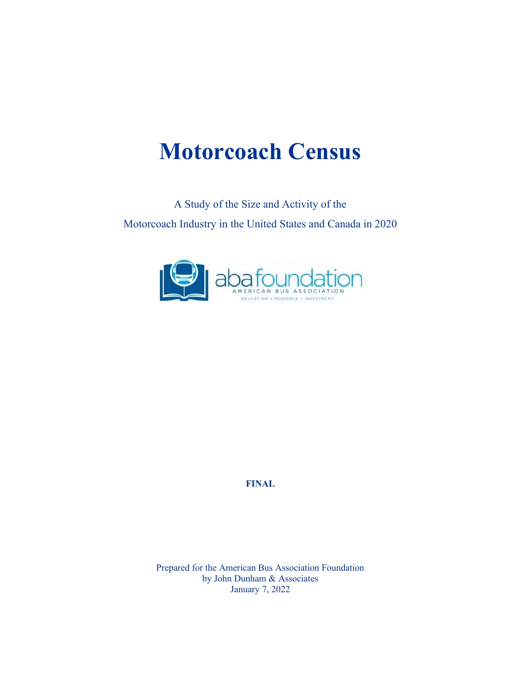## **Motorcoach Census**

A Study of the Size and Activity of the Motorcoach Industry in the United States and Canada in 2020



**FINAL**

Prepared for the American Bus Association Foundation by John Dunham & Associates January 7, 2022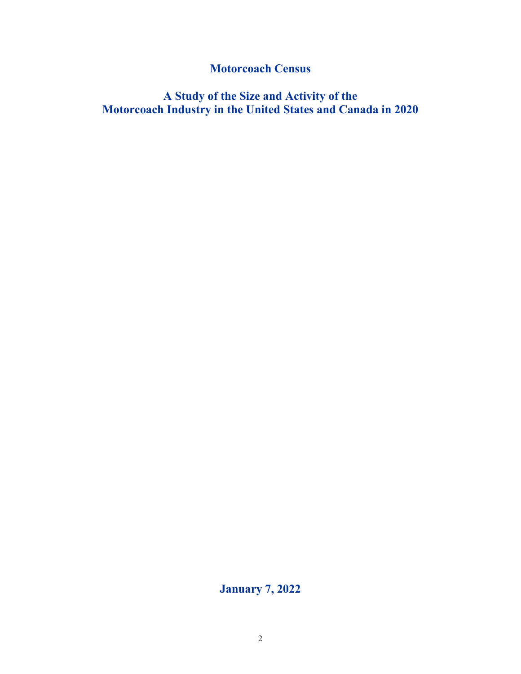**Motorcoach Census**

**A Study of the Size and Activity of the Motorcoach Industry in the United States and Canada in 2020**

**January 7, 2022**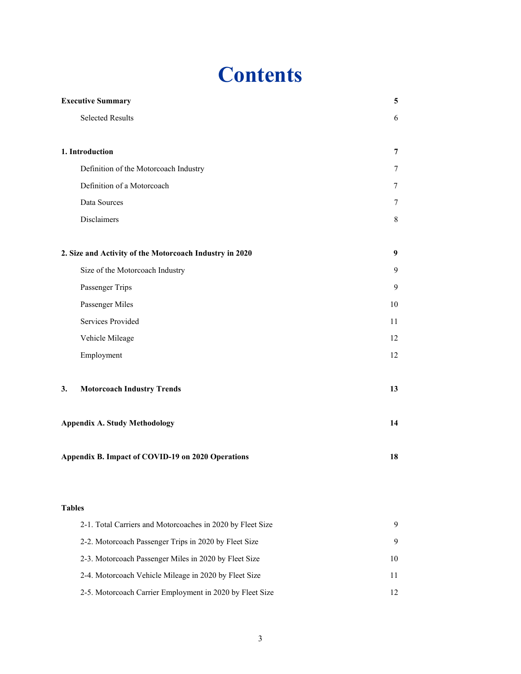## **Contents**

| <b>Executive Summary</b>                                   | 5  |
|------------------------------------------------------------|----|
| <b>Selected Results</b>                                    | 6  |
|                                                            |    |
| 1. Introduction                                            | 7  |
| Definition of the Motorcoach Industry                      | 7  |
| Definition of a Motorcoach                                 | 7  |
| Data Sources                                               | 7  |
| Disclaimers                                                | 8  |
| 2. Size and Activity of the Motorcoach Industry in 2020    | 9  |
| Size of the Motorcoach Industry                            | 9  |
| Passenger Trips                                            | 9  |
| Passenger Miles                                            | 10 |
| Services Provided                                          | 11 |
| Vehicle Mileage                                            | 12 |
| Employment                                                 | 12 |
| <b>Motorcoach Industry Trends</b><br>3.                    | 13 |
| <b>Appendix A. Study Methodology</b>                       | 14 |
| Appendix B. Impact of COVID-19 on 2020 Operations          | 18 |
| <b>Tables</b>                                              |    |
| 2-1. Total Carriers and Motorcoaches in 2020 by Fleet Size | 9  |
| 2-2. Motorcoach Passenger Trips in 2020 by Fleet Size      | 9  |
| 2-3. Motorcoach Passenger Miles in 2020 by Fleet Size      | 10 |
| 2-4. Motorcoach Vehicle Mileage in 2020 by Fleet Size      | 11 |
| 2-5. Motorcoach Carrier Employment in 2020 by Fleet Size   | 12 |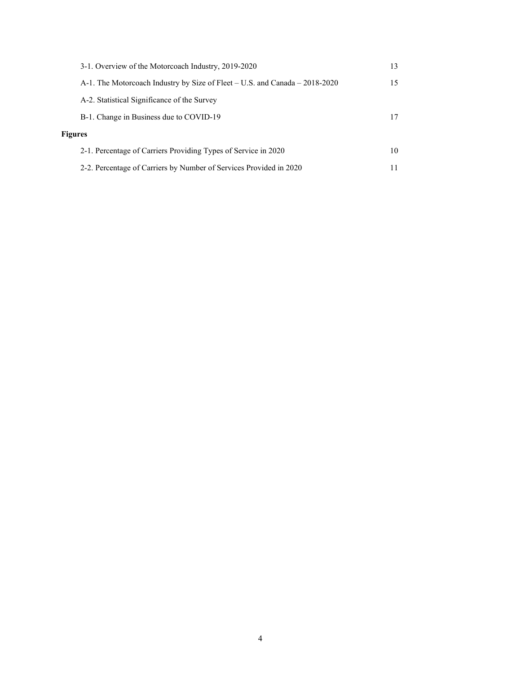|                | 3-1. Overview of the Motorcoach Industry, 2019-2020                         | 13 |
|----------------|-----------------------------------------------------------------------------|----|
|                | A-1. The Motorcoach Industry by Size of Fleet – U.S. and Canada – 2018-2020 | 15 |
|                | A-2. Statistical Significance of the Survey                                 |    |
|                | B-1. Change in Business due to COVID-19                                     |    |
| <b>Figures</b> |                                                                             |    |
|                | 2-1. Percentage of Carriers Providing Types of Service in 2020              | 10 |
|                | 2-2. Percentage of Carriers by Number of Services Provided in 2020          |    |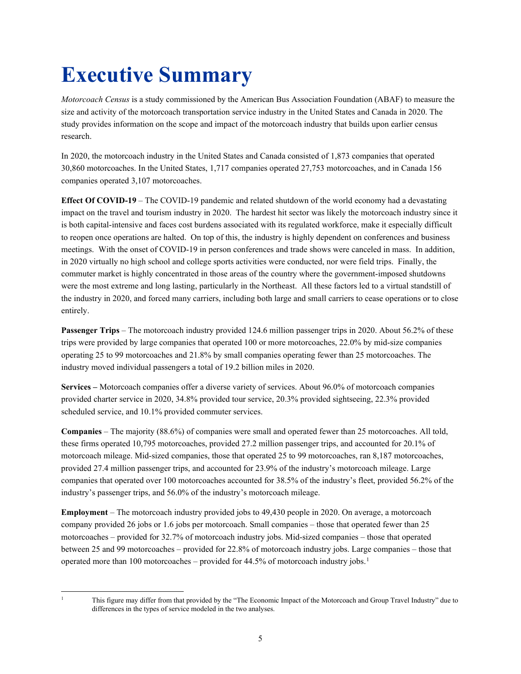# **Executive Summary**

*Motorcoach Census* is a study commissioned by the American Bus Association Foundation (ABAF) to measure the size and activity of the motorcoach transportation service industry in the United States and Canada in 2020. The study provides information on the scope and impact of the motorcoach industry that builds upon earlier census research.

In 2020, the motorcoach industry in the United States and Canada consisted of 1,873 companies that operated 30,860 motorcoaches. In the United States, 1,717 companies operated 27,753 motorcoaches, and in Canada 156 companies operated 3,107 motorcoaches.

**Effect Of COVID-19** – The COVID-19 pandemic and related shutdown of the world economy had a devastating impact on the travel and tourism industry in 2020. The hardest hit sector was likely the motorcoach industry since it is both capital-intensive and faces cost burdens associated with its regulated workforce, make it especially difficult to reopen once operations are halted. On top of this, the industry is highly dependent on conferences and business meetings. With the onset of COVID-19 in person conferences and trade shows were canceled in mass. In addition, in 2020 virtually no high school and college sports activities were conducted, nor were field trips. Finally, the commuter market is highly concentrated in those areas of the country where the government-imposed shutdowns were the most extreme and long lasting, particularly in the Northeast. All these factors led to a virtual standstill of the industry in 2020, and forced many carriers, including both large and small carriers to cease operations or to close entirely.

**Passenger Trips** – The motorcoach industry provided 124.6 million passenger trips in 2020. About 56.2% of these trips were provided by large companies that operated 100 or more motorcoaches, 22.0% by mid-size companies operating 25 to 99 motorcoaches and 21.8% by small companies operating fewer than 25 motorcoaches. The industry moved individual passengers a total of 19.2 billion miles in 2020.

**Services –** Motorcoach companies offer a diverse variety of services. About 96.0% of motorcoach companies provided charter service in 2020, 34.8% provided tour service, 20.3% provided sightseeing, 22.3% provided scheduled service, and 10.1% provided commuter services.

**Companies** – The majority (88.6%) of companies were small and operated fewer than 25 motorcoaches. All told, these firms operated 10,795 motorcoaches, provided 27.2 million passenger trips, and accounted for 20.1% of motorcoach mileage. Mid-sized companies, those that operated 25 to 99 motorcoaches, ran 8,187 motorcoaches, provided 27.4 million passenger trips, and accounted for 23.9% of the industry's motorcoach mileage. Large companies that operated over 100 motorcoaches accounted for 38.5% of the industry's fleet, provided 56.2% of the industry's passenger trips, and 56.0% of the industry's motorcoach mileage.

**Employment** – The motorcoach industry provided jobs to 49,430 people in 2020. On average, a motorcoach company provided 26 jobs or 1.6 jobs per motorcoach. Small companies – those that operated fewer than 25 motorcoaches – provided for 32.7% of motorcoach industry jobs. Mid-sized companies – those that operated between 25 and 99 motorcoaches – provided for 22.8% of motorcoach industry jobs. Large companies – those that operated more than [1](#page-4-0)00 motorcoaches – provided for 44.5% of motorcoach industry jobs.<sup>1</sup>

<span id="page-4-0"></span>

<sup>1</sup> This figure may differ from that provided by the "The Economic Impact of the Motorcoach and Group Travel Industry" due to differences in the types of service modeled in the two analyses.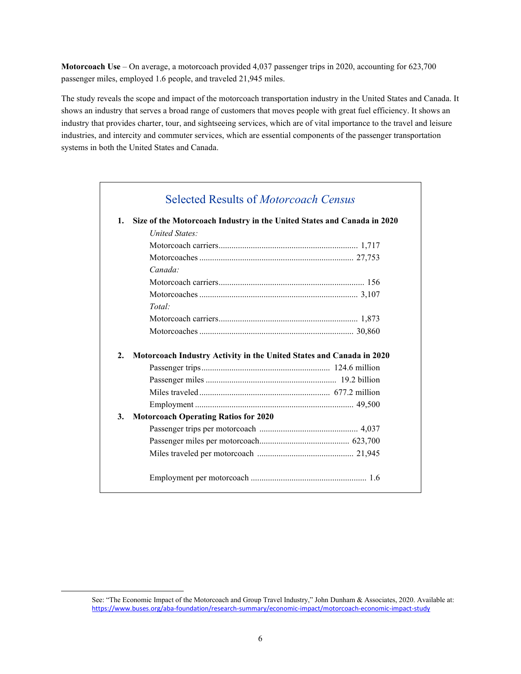**Motorcoach Use** – On average, a motorcoach provided 4,037 passenger trips in 2020, accounting for 623,700 passenger miles, employed 1.6 people, and traveled 21,945 miles.

The study reveals the scope and impact of the motorcoach transportation industry in the United States and Canada. It shows an industry that serves a broad range of customers that moves people with great fuel efficiency. It shows an industry that provides charter, tour, and sightseeing services, which are of vital importance to the travel and leisure industries, and intercity and commuter services, which are essential components of the passenger transportation systems in both the United States and Canada.

| 1. | Size of the Motorcoach Industry in the United States and Canada in 2020 |  |
|----|-------------------------------------------------------------------------|--|
|    | United States:                                                          |  |
|    |                                                                         |  |
|    |                                                                         |  |
|    | Canada:                                                                 |  |
|    |                                                                         |  |
|    |                                                                         |  |
|    | Total:                                                                  |  |
|    |                                                                         |  |
|    |                                                                         |  |
| 2. | Motorcoach Industry Activity in the United States and Canada in 2020    |  |
|    |                                                                         |  |
|    |                                                                         |  |
|    |                                                                         |  |
| 3. | <b>Motorcoach Operating Ratios for 2020</b>                             |  |
|    |                                                                         |  |
|    |                                                                         |  |
|    |                                                                         |  |

See: "The Economic Impact of the Motorcoach and Group Travel Industry," John Dunham & Associates, 2020. Available at: <https://www.buses.org/aba-foundation/research-summary/economic-impact/motorcoach-economic-impact-study>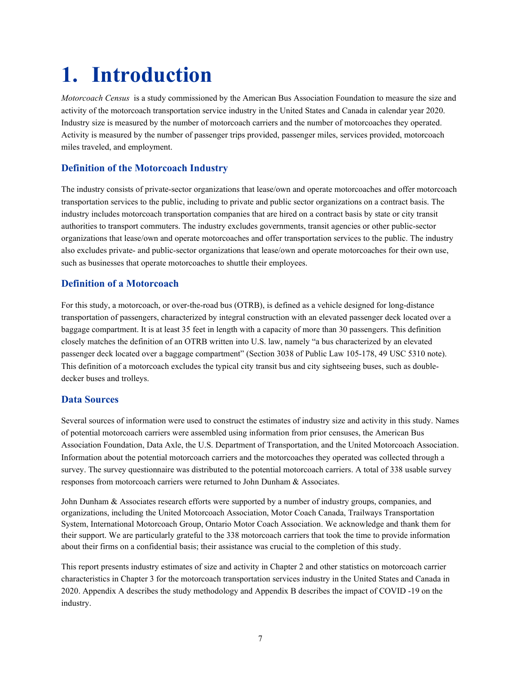## **1. Introduction**

*Motorcoach Census* is a study commissioned by the American Bus Association Foundation to measure the size and activity of the motorcoach transportation service industry in the United States and Canada in calendar year 2020. Industry size is measured by the number of motorcoach carriers and the number of motorcoaches they operated. Activity is measured by the number of passenger trips provided, passenger miles, services provided, motorcoach miles traveled, and employment.

## **Definition of the Motorcoach Industry**

The industry consists of private-sector organizations that lease/own and operate motorcoaches and offer motorcoach transportation services to the public, including to private and public sector organizations on a contract basis. The industry includes motorcoach transportation companies that are hired on a contract basis by state or city transit authorities to transport commuters. The industry excludes governments, transit agencies or other public-sector organizations that lease/own and operate motorcoaches and offer transportation services to the public. The industry also excludes private- and public-sector organizations that lease/own and operate motorcoaches for their own use, such as businesses that operate motorcoaches to shuttle their employees.

## **Definition of a Motorcoach**

For this study, a motorcoach, or over-the-road bus (OTRB), is defined as a vehicle designed for long-distance transportation of passengers, characterized by integral construction with an elevated passenger deck located over a baggage compartment. It is at least 35 feet in length with a capacity of more than 30 passengers. This definition closely matches the definition of an OTRB written into U.S. law, namely "a bus characterized by an elevated passenger deck located over a baggage compartment" (Section 3038 of Public Law 105-178, 49 USC 5310 note). This definition of a motorcoach excludes the typical city transit bus and city sightseeing buses, such as doubledecker buses and trolleys.

## **Data Sources**

Several sources of information were used to construct the estimates of industry size and activity in this study. Names of potential motorcoach carriers were assembled using information from prior censuses, the American Bus Association Foundation, Data Axle, the U.S. Department of Transportation, and the United Motorcoach Association. Information about the potential motorcoach carriers and the motorcoaches they operated was collected through a survey. The survey questionnaire was distributed to the potential motorcoach carriers. A total of 338 usable survey responses from motorcoach carriers were returned to John Dunham & Associates.

John Dunham & Associates research efforts were supported by a number of industry groups, companies, and organizations, including the United Motorcoach Association, Motor Coach Canada, Trailways Transportation System, International Motorcoach Group, Ontario Motor Coach Association. We acknowledge and thank them for their support. We are particularly grateful to the 338 motorcoach carriers that took the time to provide information about their firms on a confidential basis; their assistance was crucial to the completion of this study.

This report presents industry estimates of size and activity in Chapter 2 and other statistics on motorcoach carrier characteristics in Chapter 3 for the motorcoach transportation services industry in the United States and Canada in 2020. Appendix A describes the study methodology and Appendix B describes the impact of COVID -19 on the industry.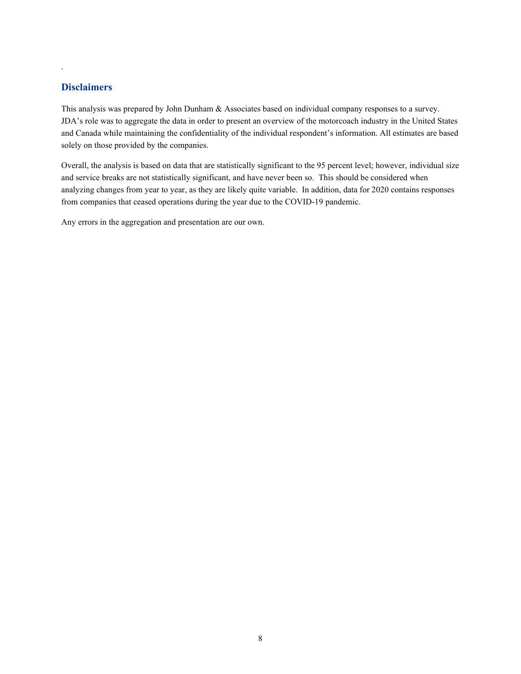### **Disclaimers**

.

This analysis was prepared by John Dunham & Associates based on individual company responses to a survey. JDA's role was to aggregate the data in order to present an overview of the motorcoach industry in the United States and Canada while maintaining the confidentiality of the individual respondent's information. All estimates are based solely on those provided by the companies.

Overall, the analysis is based on data that are statistically significant to the 95 percent level; however, individual size and service breaks are not statistically significant, and have never been so. This should be considered when analyzing changes from year to year, as they are likely quite variable. In addition, data for 2020 contains responses from companies that ceased operations during the year due to the COVID-19 pandemic.

Any errors in the aggregation and presentation are our own.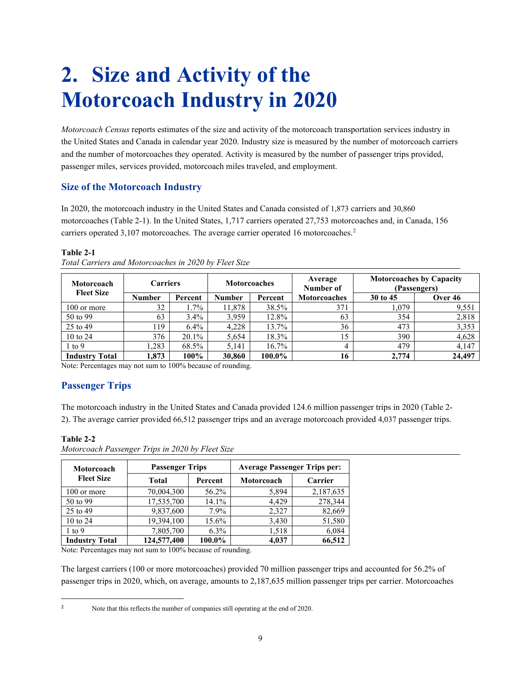## **2. Size and Activity of the Motorcoach Industry in 2020**

*Motorcoach Census* reports estimates of the size and activity of the motorcoach transportation services industry in the United States and Canada in calendar year 2020. Industry size is measured by the number of motorcoach carriers and the number of motorcoaches they operated. Activity is measured by the number of passenger trips provided, passenger miles, services provided, motorcoach miles traveled, and employment.

## **Size of the Motorcoach Industry**

In 2020, the motorcoach industry in the United States and Canada consisted of 1,873 carriers and 30,860 motorcoaches (Table 2-1). In the United States, 1,717 carriers operated 27,753 motorcoaches and, in Canada, 156 carriers operated 3,107 motorcoaches. The average carrier operated 16 motorcoaches.<sup>[2](#page-8-0)</sup>

### **Table 2-1**

| Motorcoach            | <b>Carriers</b> |         | <b>Motorcoaches</b> |          | Average<br>Number of |          | <b>Motorcoaches by Capacity</b><br>(Passengers) |
|-----------------------|-----------------|---------|---------------------|----------|----------------------|----------|-------------------------------------------------|
| <b>Fleet Size</b>     | <b>Number</b>   | Percent | <b>Number</b>       | Percent  | <b>Motorcoaches</b>  | 30 to 45 | Over 46                                         |
| 100 or more           | 32              | $1.7\%$ | 11,878              | 38.5%    | 371                  | 1,079    | 9,551                                           |
| 50 to 99              | 63              | $3.4\%$ | 3,959               | 12.8%    | 63                   | 354      | 2,818                                           |
| 25 to 49              | 119             | $6.4\%$ | 4,228               | 13.7%    | 36                   | 473      | 3,353                                           |
| 10 to 24              | 376             | 20.1%   | 5.654               | 18.3%    | 15                   | 390      | 4,628                                           |
| $\pm$ to 9            | 1,283           | 68.5%   | 5.141               | $16.7\%$ | 4                    | 479      | 4,147                                           |
| <b>Industry Total</b> | 1.873           | 100%    | 30.860              | 100.0%   | 16                   | 2,774    | 24,497                                          |

*Total Carriers and Motorcoaches in 2020 by Fleet Size*

Note: Percentages may not sum to 100% because of rounding.

## **Passenger Trips**

The motorcoach industry in the United States and Canada provided 124.6 million passenger trips in 2020 (Table 2- 2). The average carrier provided 66,512 passenger trips and an average motorcoach provided 4,037 passenger trips.

| Motorcoach            | <b>Passenger Trips</b> |         | <b>Average Passenger Trips per:</b> |           |  |
|-----------------------|------------------------|---------|-------------------------------------|-----------|--|
| <b>Fleet Size</b>     | Total                  | Percent | Motorcoach                          | Carrier   |  |
| 100 or more           | 70,004,300             | 56.2%   | 5,894                               | 2,187,635 |  |
| 50 to 99              | 17,535,700             | 14.1%   | 4.429                               | 278,344   |  |
| 25 to 49              | 9,837,600              | 7.9%    | 2,327                               | 82,669    |  |
| 10 to $24$            | 19,394,100             | 15.6%   | 3,430                               | 51,580    |  |
| $1$ to $9$            | 7,805,700              | $6.3\%$ | 1,518                               | 6,084     |  |
| <b>Industry Total</b> | 124,577,400            | 100.0%  | 4,037                               | 66,512    |  |

**Table 2-2**

*Motorcoach Passenger Trips in 2020 by Fleet Size*

Note: Percentages may not sum to 100% because of rounding.

The largest carriers (100 or more motorcoaches) provided 70 million passenger trips and accounted for 56.2% of passenger trips in 2020, which, on average, amounts to 2,187,635 million passenger trips per carrier. Motorcoaches

<span id="page-8-0"></span>

<sup>&</sup>lt;sup>2</sup> Note that this reflects the number of companies still operating at the end of 2020.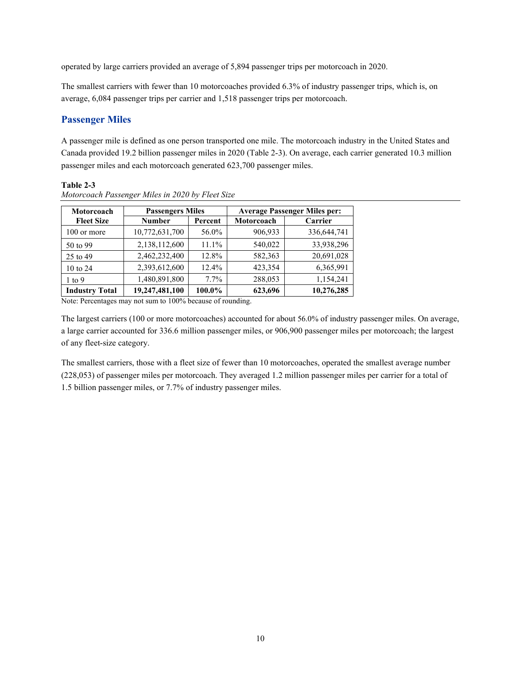operated by large carriers provided an average of 5,894 passenger trips per motorcoach in 2020.

The smallest carriers with fewer than 10 motorcoaches provided 6.3% of industry passenger trips, which is, on average, 6,084 passenger trips per carrier and 1,518 passenger trips per motorcoach.

## **Passenger Miles**

A passenger mile is defined as one person transported one mile. The motorcoach industry in the United States and Canada provided 19.2 billion passenger miles in 2020 (Table 2-3). On average, each carrier generated 10.3 million passenger miles and each motorcoach generated 623,700 passenger miles.

#### **Table 2-3**

| Motorcoach            | <b>Passengers Miles</b> |          | <b>Average Passenger Miles per:</b> |             |
|-----------------------|-------------------------|----------|-------------------------------------|-------------|
| <b>Fleet Size</b>     | <b>Number</b>           | Percent  | Motorcoach                          | Carrier     |
| 100 or more           | 10,772,631,700          | 56.0%    | 906,933                             | 336,644,741 |
| 50 to 99              | 2,138,112,600           | $11.1\%$ | 540,022                             | 33,938,296  |
| 25 to 49              | 2,462,232,400           | 12.8%    | 582,363                             | 20,691,028  |
| 10 to $24$            | 2,393,612,600           | 12.4%    | 423,354                             | 6,365,991   |
| $1$ to $9$            | 1,480,891,800           | $7.7\%$  | 288,053                             | 1,154,241   |
| <b>Industry Total</b> | 19,247,481,100          | 100.0%   | 623,696                             | 10,276,285  |

*Motorcoach Passenger Miles in 2020 by Fleet Size*

Note: Percentages may not sum to 100% because of rounding.

The largest carriers (100 or more motorcoaches) accounted for about 56.0% of industry passenger miles. On average, a large carrier accounted for 336.6 million passenger miles, or 906,900 passenger miles per motorcoach; the largest of any fleet-size category.

The smallest carriers, those with a fleet size of fewer than 10 motorcoaches, operated the smallest average number (228,053) of passenger miles per motorcoach. They averaged 1.2 million passenger miles per carrier for a total of 1.5 billion passenger miles, or 7.7% of industry passenger miles.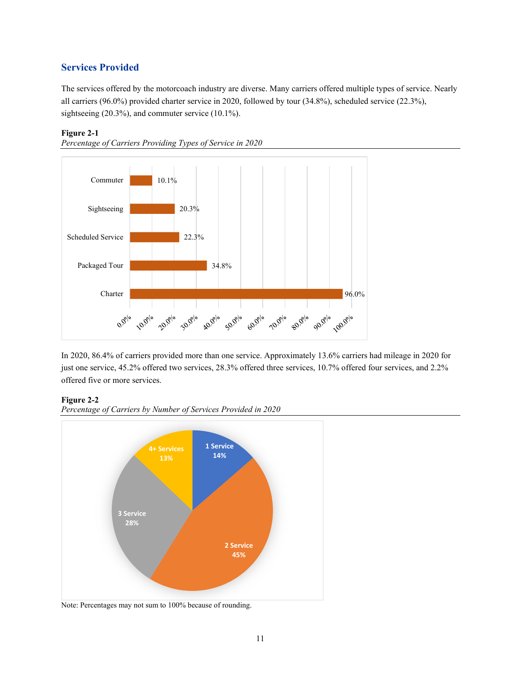## **Services Provided**

The services offered by the motorcoach industry are diverse. Many carriers offered multiple types of service. Nearly all carriers (96.0%) provided charter service in 2020, followed by tour (34.8%), scheduled service (22.3%), sightseeing (20.3%), and commuter service (10.1%).

#### **Figure 2-1**





In 2020, 86.4% of carriers provided more than one service. Approximately 13.6% carriers had mileage in 2020 for just one service, 45.2% offered two services, 28.3% offered three services, 10.7% offered four services, and 2.2% offered five or more services.

#### **Figure 2-2**





Note: Percentages may not sum to 100% because of rounding.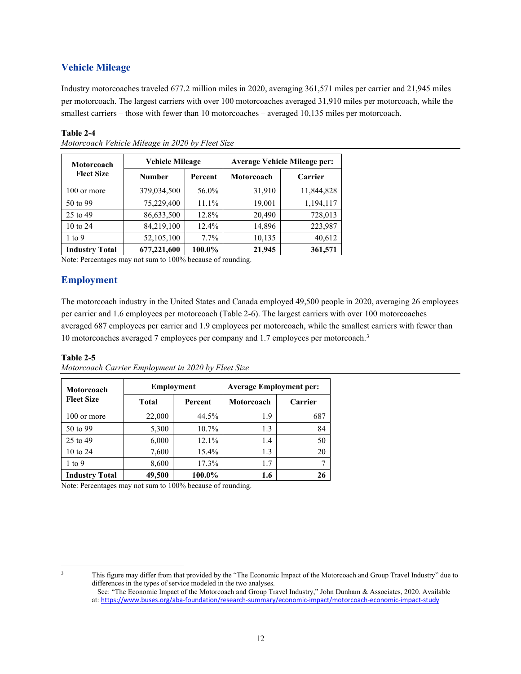## **Vehicle Mileage**

Industry motorcoaches traveled 677.2 million miles in 2020, averaging 361,571 miles per carrier and 21,945 miles per motorcoach. The largest carriers with over 100 motorcoaches averaged 31,910 miles per motorcoach, while the smallest carriers – those with fewer than 10 motorcoaches – averaged 10,135 miles per motorcoach.

#### **Table 2-4**

| Motorcoach            | <b>Vehicle Mileage</b> |          | <b>Average Vehicle Mileage per:</b> |            |  |
|-----------------------|------------------------|----------|-------------------------------------|------------|--|
| <b>Fleet Size</b>     | <b>Number</b>          | Percent  | Motorcoach                          | Carrier    |  |
| 100 or more           | 379,034,500            | 56.0%    | 31,910                              | 11,844,828 |  |
| 50 to 99              | 75,229,400             | $11.1\%$ | 19,001                              | 1,194,117  |  |
| 25 to 49              | 86,633,500             | 12.8%    | 20,490                              | 728,013    |  |
| 10 to 24              | 84,219,100             | 12.4%    | 14,896                              | 223,987    |  |
| $1$ to $9$            | 52,105,100             | $7.7\%$  | 10,135                              | 40,612     |  |
| <b>Industry Total</b> | 677,221,600            | 100.0%   | 21,945                              | 361,571    |  |

*Motorcoach Vehicle Mileage in 2020 by Fleet Size*

Note: Percentages may not sum to 100% because of rounding.

## **Employment**

The motorcoach industry in the United States and Canada employed 49,500 people in 2020, averaging 26 employees per carrier and 1.6 employees per motorcoach (Table 2-6). The largest carriers with over 100 motorcoaches averaged 687 employees per carrier and 1.9 employees per motorcoach, while the smallest carriers with fewer than 10 motorcoaches averaged 7 employees per company and 1.7 employees per motorcoach.[3](#page-11-0)

#### **Table 2-5**

|  |  | Motorcoach Carrier Employment in 2020 by Fleet Size |
|--|--|-----------------------------------------------------|
|--|--|-----------------------------------------------------|

| <b>Motorcoach</b>     |        | <b>Employment</b> | <b>Average Employment per:</b> |         |  |
|-----------------------|--------|-------------------|--------------------------------|---------|--|
| <b>Fleet Size</b>     | Total  | Percent           | Motorcoach                     | Carrier |  |
| 100 or more           | 22,000 | 44.5%             | 1.9                            | 687     |  |
| 50 to 99              | 5,300  | $10.7\%$          | 1.3                            | 84      |  |
| 25 to 49              | 6,000  | $12.1\%$          | 1.4                            | 50      |  |
| 10 to 24              | 7,600  | 15.4%             | 1.3                            | 20      |  |
| $1$ to $9$            | 8,600  | 17.3%             | 1.7                            |         |  |
| <b>Industry Total</b> | 49,500 | 100.0%            | 1.6                            | 26      |  |

Note: Percentages may not sum to 100% because of rounding.

<span id="page-11-0"></span>

<sup>&</sup>lt;sup>3</sup> This figure may differ from that provided by the "The Economic Impact of the Motorcoach and Group Travel Industry" due to differences in the types of service modeled in the two analyses.

See: "The Economic Impact of the Motorcoach and Group Travel Industry," John Dunham & Associates, 2020. Available at: <https://www.buses.org/aba-foundation/research-summary/economic-impact/motorcoach-economic-impact-study>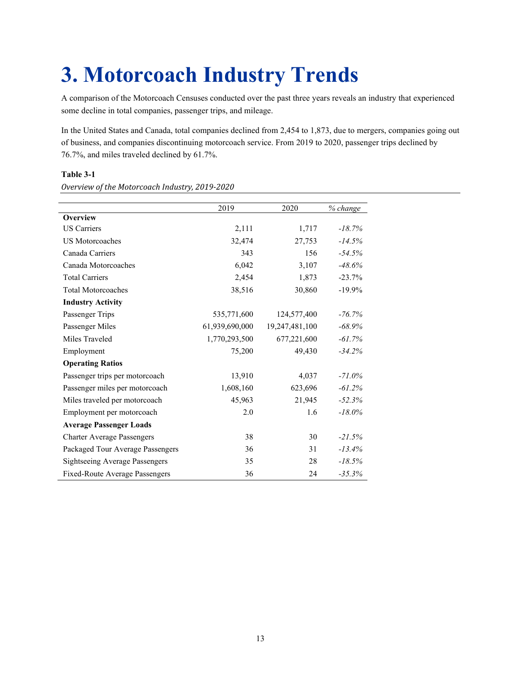## **3. Motorcoach Industry Trends**

A comparison of the Motorcoach Censuses conducted over the past three years reveals an industry that experienced some decline in total companies, passenger trips, and mileage.

In the United States and Canada, total companies declined from 2,454 to 1,873, due to mergers, companies going out of business, and companies discontinuing motorcoach service. From 2019 to 2020, passenger trips declined by 76.7%, and miles traveled declined by 61.7%.

#### **Table 3-1**

*Overview of the Motorcoach Industry, 2019-2020*

|                                       | 2019           | 2020           | % change  |
|---------------------------------------|----------------|----------------|-----------|
| Overview                              |                |                |           |
| <b>US</b> Carriers                    | 2,111          | 1,717          | $-18.7\%$ |
| <b>US Motorcoaches</b>                | 32,474         | 27,753         | $-14.5%$  |
| Canada Carriers                       | 343            | 156            | $-54.5%$  |
| Canada Motorcoaches                   | 6,042          | 3,107          | $-48.6%$  |
| <b>Total Carriers</b>                 | 2,454          | 1,873          | $-23.7%$  |
| <b>Total Motorcoaches</b>             | 38,516         | 30,860         | $-19.9\%$ |
| <b>Industry Activity</b>              |                |                |           |
| Passenger Trips                       | 535,771,600    | 124,577,400    | $-76.7\%$ |
| Passenger Miles                       | 61,939,690,000 | 19,247,481,100 | $-68.9%$  |
| Miles Traveled                        | 1,770,293,500  | 677,221,600    | $-61.7%$  |
| Employment                            | 75,200         | 49,430         | $-34.2%$  |
| <b>Operating Ratios</b>               |                |                |           |
| Passenger trips per motorcoach        | 13,910         | 4,037          | $-71.0\%$ |
| Passenger miles per motorcoach        | 1,608,160      | 623,696        | $-61.2%$  |
| Miles traveled per motorcoach         | 45,963         | 21,945         | $-52.3%$  |
| Employment per motorcoach             | 2.0            | 1.6            | $-18.0\%$ |
| <b>Average Passenger Loads</b>        |                |                |           |
| <b>Charter Average Passengers</b>     | 38             | 30             | $-21.5%$  |
| Packaged Tour Average Passengers      | 36             | 31             | $-13.4%$  |
| <b>Sightseeing Average Passengers</b> | 35             | 28             | $-18.5%$  |
| Fixed-Route Average Passengers        | 36             | 24             | $-35.3%$  |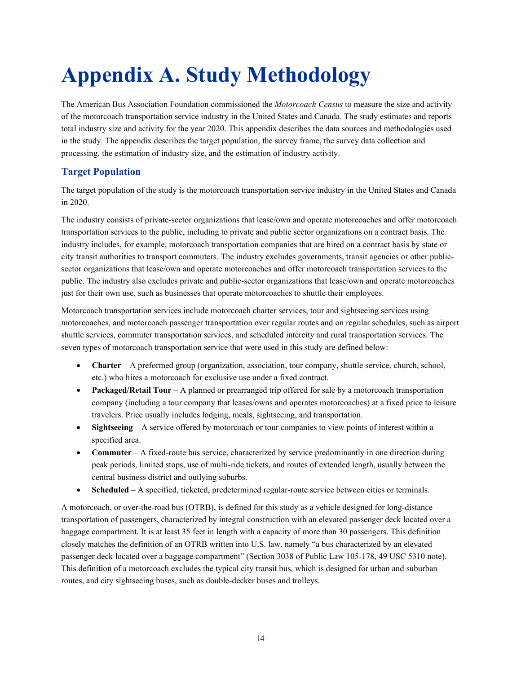# **Appendix A. Study Methodology**

The American Bus Association Foundation commissioned the *Motorcoach Census* to measure the size and activity of the motorcoach transportation service industry in the United States and Canada. The study estimates and reports total industry size and activity for the year 2020. This appendix describes the data sources and methodologies used in the study. The appendix describes the target population, the survey frame, the survey data collection and processing, the estimation of industry size, and the estimation of industry activity.

## **Target Population**

The target population of the study is the motorcoach transportation service industry in the United States and Canada in 2020.

The industry consists of private-sector organizations that lease/own and operate motorcoaches and offer motorcoach transportation services to the public, including to private and public sector organizations on a contract basis. The industry includes, for example, motorcoach transportation companies that are hired on a contract basis by state or city transit authorities to transport commuters. The industry excludes governments, transit agencies or other publicsector organizations that lease/own and operate motorcoaches and offer motorcoach transportation services to the public. The industry also excludes private and public-sector organizations that lease/own and operate motorcoaches just for their own use, such as businesses that operate motorcoaches to shuttle their employees.

Motorcoach transportation services include motorcoach charter services, tour and sightseeing services using motorcoaches, and motorcoach passenger transportation over regular routes and on regular schedules, such as airport shuttle services, commuter transportation services, and scheduled intercity and rural transportation services. The seven types of motorcoach transportation service that were used in this study are defined below:

- **Charter** A preformed group (organization, association, tour company, shuttle service, church, school, etc.) who hires a motorcoach for exclusive use under a fixed contract.
- **Packaged/Retail Tour** A planned or prearranged trip offered for sale by a motorcoach transportation company (including a tour company that leases/owns and operates motorcoaches) at a fixed price to leisure travelers. Price usually includes lodging, meals, sightseeing, and transportation.
- **Sightseeing** A service offered by motorcoach or tour companies to view points of interest within a specified area.
- **Commuter** A fixed-route bus service, characterized by service predominantly in one direction during peak periods, limited stops, use of multi-ride tickets, and routes of extended length, usually between the central business district and outlying suburbs.
- **Scheduled** A specified, ticketed, predetermined regular-route service between cities or terminals.

A motorcoach, or over-the-road bus (OTRB), is defined for this study as a vehicle designed for long-distance transportation of passengers, characterized by integral construction with an elevated passenger deck located over a baggage compartment. It is at least 35 feet in length with a capacity of more than 30 passengers. This definition closely matches the definition of an OTRB written into U.S. law, namely "a bus characterized by an elevated passenger deck located over a baggage compartment" (Section 3038 of Public Law 105-178, 49 USC 5310 note). This definition of a motorcoach excludes the typical city transit bus, which is designed for urban and suburban routes, and city sightseeing buses, such as double-decker buses and trolleys.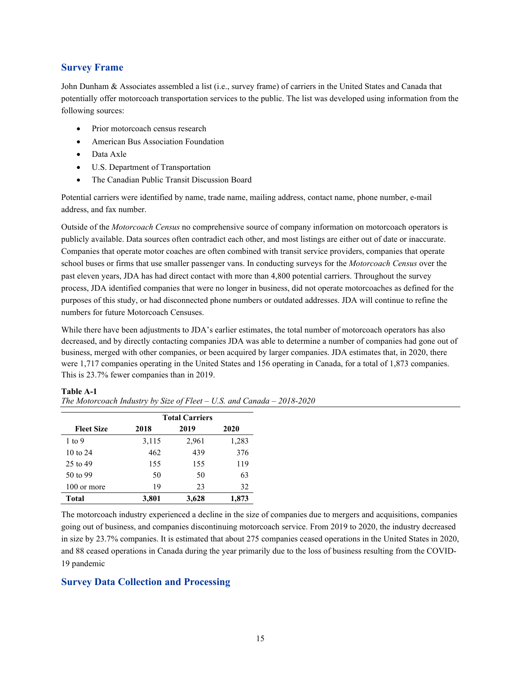### **Survey Frame**

John Dunham & Associates assembled a list (i.e., survey frame) of carriers in the United States and Canada that potentially offer motorcoach transportation services to the public. The list was developed using information from the following sources:

- Prior motorcoach census research
- American Bus Association Foundation
- Data Axle
- U.S. Department of Transportation
- The Canadian Public Transit Discussion Board

Potential carriers were identified by name, trade name, mailing address, contact name, phone number, e-mail address, and fax number.

Outside of the *Motorcoach Census* no comprehensive source of company information on motorcoach operators is publicly available. Data sources often contradict each other, and most listings are either out of date or inaccurate. Companies that operate motor coaches are often combined with transit service providers, companies that operate school buses or firms that use smaller passenger vans. In conducting surveys for the *Motorcoach Census* over the past eleven years, JDA has had direct contact with more than 4,800 potential carriers. Throughout the survey process, JDA identified companies that were no longer in business, did not operate motorcoaches as defined for the purposes of this study, or had disconnected phone numbers or outdated addresses. JDA will continue to refine the numbers for future Motorcoach Censuses.

While there have been adjustments to JDA's earlier estimates, the total number of motorcoach operators has also decreased, and by directly contacting companies JDA was able to determine a number of companies had gone out of business, merged with other companies, or been acquired by larger companies. JDA estimates that, in 2020, there were 1,717 companies operating in the United States and 156 operating in Canada, for a total of 1,873 companies. This is 23.7% fewer companies than in 2019.

#### **Table A-1**

|                     | <b>Total Carriers</b> |       |       |  |  |
|---------------------|-----------------------|-------|-------|--|--|
| <b>Fleet Size</b>   | 2018                  | 2019  | 2020  |  |  |
| $1$ to $9$          | 3,115                 | 2,961 | 1,283 |  |  |
| $10 \text{ to } 24$ | 462                   | 439   | 376   |  |  |
| 25 to 49            | 155                   | 155   | 119   |  |  |
| 50 to 99            | 50                    | 50    | 63    |  |  |
| 100 or more         | 19                    | 23    | 32    |  |  |
| <b>Total</b>        | 3,801                 | 3,628 | 1,873 |  |  |

*The Motorcoach Industry by Size of Fleet – U.S. and Canada – 2018-2020*

The motorcoach industry experienced a decline in the size of companies due to mergers and acquisitions, companies going out of business, and companies discontinuing motorcoach service. From 2019 to 2020, the industry decreased in size by 23.7% companies. It is estimated that about 275 companies ceased operations in the United States in 2020, and 88 ceased operations in Canada during the year primarily due to the loss of business resulting from the COVID-19 pandemic

#### **Survey Data Collection and Processing**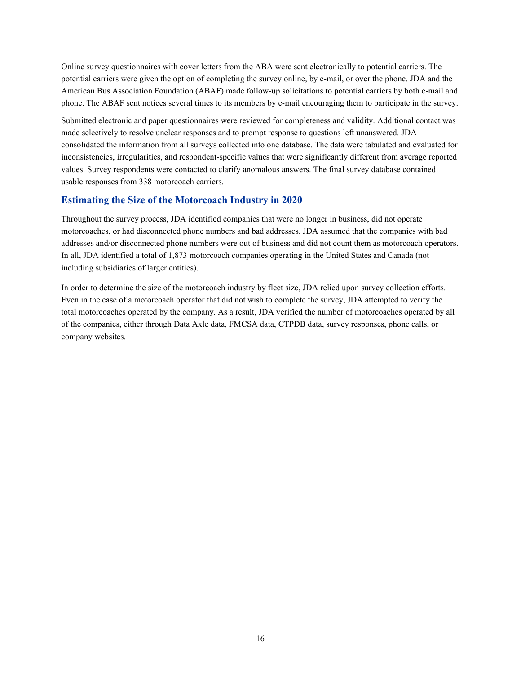Online survey questionnaires with cover letters from the ABA were sent electronically to potential carriers. The potential carriers were given the option of completing the survey online, by e-mail, or over the phone. JDA and the American Bus Association Foundation (ABAF) made follow-up solicitations to potential carriers by both e-mail and phone. The ABAF sent notices several times to its members by e-mail encouraging them to participate in the survey.

Submitted electronic and paper questionnaires were reviewed for completeness and validity. Additional contact was made selectively to resolve unclear responses and to prompt response to questions left unanswered. JDA consolidated the information from all surveys collected into one database. The data were tabulated and evaluated for inconsistencies, irregularities, and respondent-specific values that were significantly different from average reported values. Survey respondents were contacted to clarify anomalous answers. The final survey database contained usable responses from 338 motorcoach carriers.

### **Estimating the Size of the Motorcoach Industry in 2020**

Throughout the survey process, JDA identified companies that were no longer in business, did not operate motorcoaches, or had disconnected phone numbers and bad addresses. JDA assumed that the companies with bad addresses and/or disconnected phone numbers were out of business and did not count them as motorcoach operators. In all, JDA identified a total of 1,873 motorcoach companies operating in the United States and Canada (not including subsidiaries of larger entities).

In order to determine the size of the motorcoach industry by fleet size, JDA relied upon survey collection efforts. Even in the case of a motorcoach operator that did not wish to complete the survey, JDA attempted to verify the total motorcoaches operated by the company. As a result, JDA verified the number of motorcoaches operated by all of the companies, either through Data Axle data, FMCSA data, CTPDB data, survey responses, phone calls, or company websites.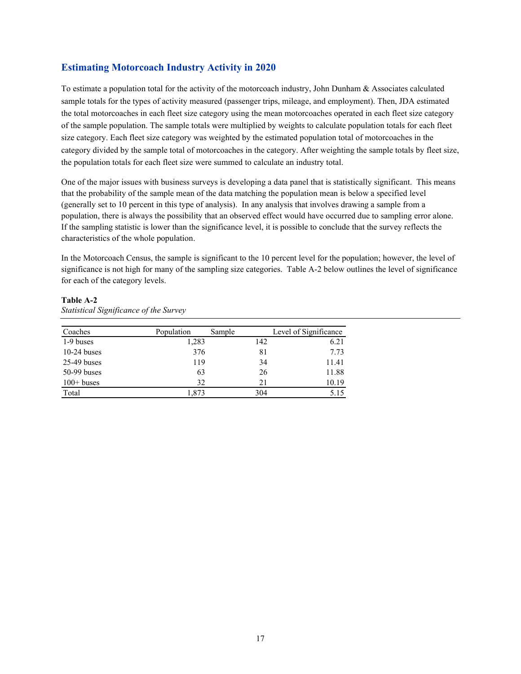### **Estimating Motorcoach Industry Activity in 2020**

To estimate a population total for the activity of the motorcoach industry, John Dunham & Associates calculated sample totals for the types of activity measured (passenger trips, mileage, and employment). Then, JDA estimated the total motorcoaches in each fleet size category using the mean motorcoaches operated in each fleet size category of the sample population. The sample totals were multiplied by weights to calculate population totals for each fleet size category. Each fleet size category was weighted by the estimated population total of motorcoaches in the category divided by the sample total of motorcoaches in the category. After weighting the sample totals by fleet size, the population totals for each fleet size were summed to calculate an industry total.

One of the major issues with business surveys is developing a data panel that is statistically significant. This means that the probability of the sample mean of the data matching the population mean is below a specified level (generally set to 10 percent in this type of analysis). In any analysis that involves drawing a sample from a population, there is always the possibility that an observed effect would have occurred due to sampling error alone. If the sampling statistic is lower than the significance level, it is possible to conclude that the survey reflects the characteristics of the whole population.

In the Motorcoach Census, the sample is significant to the 10 percent level for the population; however, the level of significance is not high for many of the sampling size categories. Table A-2 below outlines the level of significance for each of the category levels.

#### **Table A-2** *Statistical Significance of the Survey*

| Coaches       | Population | Sample | Level of Significance |
|---------------|------------|--------|-----------------------|
| 1-9 buses     | 1,283      | 142    | 6.21                  |
| $10-24$ buses | 376        | 81     | 7.73                  |
| $25-49$ buses | 119        | 34     | 11.41                 |
| $50-99$ buses | 63         | 26     | 11.88                 |
| $100+$ buses  | 32         | 21     | 10.19                 |
| Total         | 1.873      | 304    | 5.15                  |